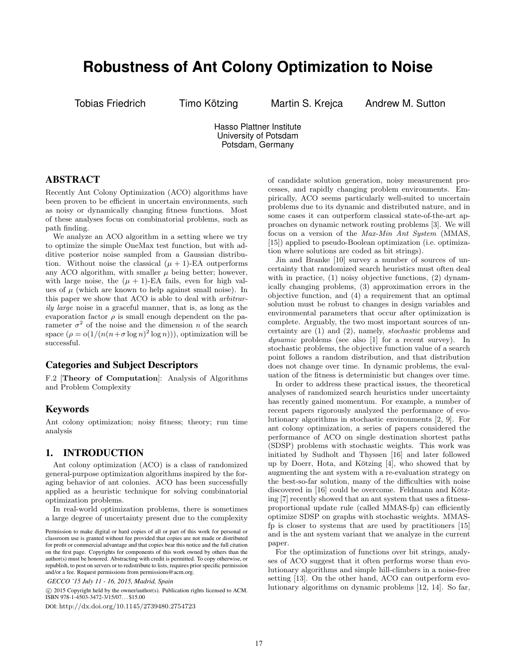# **Robustness of Ant Colony Optimization to Noise**

Tobias Friedrich Timo Kötzing Martin S. Krejca Andrew M. Sutton

Hasso Plattner Institute University of Potsdam Potsdam, Germany

# ABSTRACT

Recently Ant Colony Optimization (ACO) algorithms have been proven to be efficient in uncertain environments, such as noisy or dynamically changing fitness functions. Most of these analyses focus on combinatorial problems, such as path finding.

We analyze an ACO algorithm in a setting where we try to optimize the simple OneMax test function, but with additive posterior noise sampled from a Gaussian distribution. Without noise the classical  $(\mu + 1)$ -EA outperforms any ACO algorithm, with smaller  $\mu$  being better; however, with large noise, the  $(\mu + 1)$ -EA fails, even for high values of  $\mu$  (which are known to help against small noise). In this paper we show that ACO is able to deal with arbitrarily large noise in a graceful manner, that is, as long as the evaporation factor  $\rho$  is small enough dependent on the parameter  $\sigma^2$  of the noise and the dimension n of the search space  $(\rho = o(1/(n(n + \sigma \log n)^2 \log n)))$ , optimization will be successful.

## Categories and Subject Descriptors

F.2 [Theory of Computation]: Analysis of Algorithms and Problem Complexity

# Keywords

Ant colony optimization; noisy fitness; theory; run time analysis

# 1. INTRODUCTION

Ant colony optimization (ACO) is a class of randomized general-purpose optimization algorithms inspired by the foraging behavior of ant colonies. ACO has been successfully applied as a heuristic technique for solving combinatorial optimization problems.

In real-world optimization problems, there is sometimes a large degree of uncertainty present due to the complexity

 c 2015 Copyright held by the owner/author(s). Publication rights licensed to ACM. ISBN 978-1-4503-3472-3/15/07. . . \$15.00

DOI: http://dx.doi.org/10.1145/2739480.2754723

of candidate solution generation, noisy measurement processes, and rapidly changing problem environments. Empirically, ACO seems particularly well-suited to uncertain problems due to its dynamic and distributed nature, and in some cases it can outperform classical state-of-the-art approaches on dynamic network routing problems [3]. We will focus on a version of the Max-Min Ant System (MMAS, [15]) applied to pseudo-Boolean optimization (i.e. optimization where solutions are coded as bit strings).

Jin and Branke [10] survey a number of sources of uncertainty that randomized search heuristics must often deal with in practice, (1) noisy objective functions, (2) dynamically changing problems, (3) approximation errors in the objective function, and (4) a requirement that an optimal solution must be robust to changes in design variables and environmental parameters that occur after optimization is complete. Arguably, the two most important sources of uncertainty are (1) and (2), namely, stochastic problems and dynamic problems (see also [1] for a recent survey). In stochastic problems, the objective function value of a search point follows a random distribution, and that distribution does not change over time. In dynamic problems, the evaluation of the fitness is deterministic but changes over time.

In order to address these practical issues, the theoretical analyses of randomized search heuristics under uncertainty has recently gained momentum. For example, a number of recent papers rigorously analyzed the performance of evolutionary algorithms in stochastic environments [2, 9]. For ant colony optimization, a series of papers considered the performance of ACO on single destination shortest paths (SDSP) problems with stochastic weights. This work was initiated by Sudholt and Thyssen [16] and later followed up by Doerr, Hota, and Kötzing [4], who showed that by augmenting the ant system with a re-evaluation strategy on the best-so-far solution, many of the difficulties with noise discovered in [16] could be overcome. Feldmann and Kötzing [7] recently showed that an ant system that uses a fitnessproportional update rule (called MMAS-fp) can efficiently optimize SDSP on graphs with stochastic weights. MMASfp is closer to systems that are used by practitioners [15] and is the ant system variant that we analyze in the current paper.

For the optimization of functions over bit strings, analyses of ACO suggest that it often performs worse than evolutionary algorithms and simple hill-climbers in a noise-free setting [13]. On the other hand, ACO can outperform evolutionary algorithms on dynamic problems [12, 14]. So far,

Permission to make digital or hard copies of all or part of this work for personal or classroom use is granted without fee provided that copies are not made or distributed for profit or commercial advantage and that copies bear this notice and the full citation on the first page. Copyrights for components of this work owned by others than the author(s) must be honored. Abstracting with credit is permitted. To copy otherwise, or republish, to post on servers or to redistribute to lists, requires prior specific permission and/or a fee. Request permissions from permissions@acm.org.

*GECCO '15 July 11 - 16, 2015, Madrid, Spain*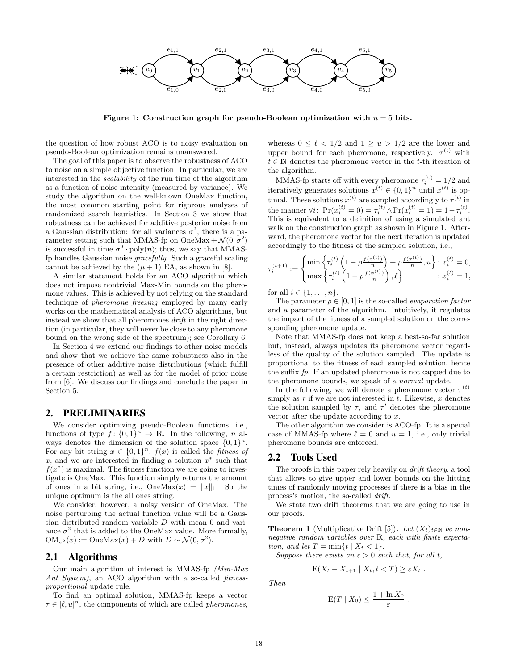

Figure 1: Construction graph for pseudo-Boolean optimization with  $n = 5$  bits.

the question of how robust ACO is to noisy evaluation on pseudo-Boolean optimization remains unanswered.

The goal of this paper is to observe the robustness of ACO to noise on a simple objective function. In particular, we are interested in the scalability of the run time of the algorithm as a function of noise intensity (measured by variance). We study the algorithm on the well-known OneMax function, the most common starting point for rigorous analyses of randomized search heuristics. In Section 3 we show that robustness can be achieved for additive posterior noise from a Gaussian distribution: for all variances  $\sigma^2$ , there is a parameter setting such that MMAS-fp on OneMax +  $\mathcal{N}(0, \sigma^2)$ is successful in time  $\sigma^2 \cdot \text{poly}(n)$ ; thus, we say that MMASfp handles Gaussian noise gracefully. Such a graceful scaling cannot be achieved by the  $(\mu + 1)$  EA, as shown in [8].

A similar statement holds for an ACO algorithm which does not impose nontrivial Max-Min bounds on the pheromone values. This is achieved by not relying on the standard technique of pheromone freezing employed by many early works on the mathematical analysis of ACO algorithms, but instead we show that all pheromones drift in the right direction (in particular, they will never be close to any pheromone bound on the wrong side of the spectrum); see Corollary 6.

In Section 4 we extend our findings to other noise models and show that we achieve the same robustness also in the presence of other additive noise distributions (which fulfill a certain restriction) as well as for the model of prior noise from [6]. We discuss our findings and conclude the paper in Section 5.

## 2. PRELIMINARIES

We consider optimizing pseudo-Boolean functions, i.e., functions of type  $f: \{0,1\}^n \to \mathbb{R}$ . In the following, n always denotes the dimension of the solution space  $\{0,1\}^n$ . For any bit string  $x \in \{0,1\}^n$ ,  $f(x)$  is called the *fitness of* x, and we are interested in finding a solution  $x^*$  such that  $f(x^*)$  is maximal. The fitness function we are going to investigate is OneMax. This function simply returns the amount of ones in a bit string, i.e.,  $OneMax(x) = ||x||_1$ . So the unique optimum is the all ones string.

We consider, however, a noisy version of OneMax. The noise perturbing the actual function value will be a Gaussian distributed random variable D with mean 0 and variance  $\sigma^2$  that is added to the OneMax value. More formally,  $OM_{\sigma^2}(x) := OneMax(x) + D$  with  $D \sim \mathcal{N}(0, \sigma^2)$ .

#### 2.1 Algorithms

Our main algorithm of interest is MMAS-fp (Min-Max Ant System), an ACO algorithm with a so-called *fitness*proportional update rule.

To find an optimal solution, MMAS-fp keeps a vector  $\tau \in [\ell, u]^n$ , the components of which are called *pheromones*,

whereas  $0 \leq \ell < 1/2$  and  $1 \geq u > 1/2$  are the lower and upper bound for each pheromone, respectively.  $\tau^{(t)}$  with  $t \in \mathbb{N}$  denotes the pheromone vector in the t-th iteration of the algorithm.

MMAS-fp starts off with every pheromone  $\tau_i^{(0)} = 1/2$  and iteratively generates solutions  $x^{(t)} \in \{0,1\}^n$  until  $x^{(t)}$  is optimal. These solutions  $x^{(t)}$  are sampled accordingly to  $\tau^{(t)}$  in the manner  $\forall i$ :  $\Pr(x_i^{(t)} = 0) = \tau_i^{(t)} \wedge \Pr(x_i^{(t)} = 1) = 1 - \tau_i^{(t)}$ . This is equivalent to a definition of using a simulated ant walk on the construction graph as shown in Figure 1. Afterward, the pheromone vector for the next iteration is updated accordingly to the fitness of the sampled solution, i.e.,

$$
\tau_i^{(t+1)} := \begin{cases} \min \left\{ \tau_i^{(t)} \left( 1 - \rho \frac{f(x^{(t)})}{n} \right) + \rho \frac{f(x^{(t)})}{n}, u \right\} : x_i^{(t)} = 0, \\ \max \left\{ \tau_i^{(t)} \left( 1 - \rho \frac{f(x^{(t)})}{n} \right), \ell \right\} & : x_i^{(t)} = 1, \end{cases}
$$

for all  $i \in \{1, \ldots, n\}$ .

The parameter  $\rho \in [0, 1]$  is the so-called *evaporation factor* and a parameter of the algorithm. Intuitively, it regulates the impact of the fitness of a sampled solution on the corresponding pheromone update.

Note that MMAS-fp does not keep a best-so-far solution but, instead, always updates its pheromone vector regardless of the quality of the solution sampled. The update is proportional to the fitness of each sampled solution, hence the suffix fp. If an updated pheromone is not capped due to the pheromone bounds, we speak of a normal update.

In the following, we will denote a pheromone vector  $\tau^{(t)}$ simply as  $\tau$  if we are not interested in t. Likewise, x denotes the solution sampled by  $\tau$ , and  $\tau'$  denotes the pheromone vector after the update according to x.

The other algorithm we consider is ACO-fp. It is a special case of MMAS-fp where  $\ell = 0$  and  $u = 1$ , i.e., only trivial pheromone bounds are enforced.

#### 2.2 Tools Used

The proofs in this paper rely heavily on *drift theory*, a tool that allows to give upper and lower bounds on the hitting times of randomly moving processes if there is a bias in the process's motion, the so-called drift.

We state two drift theorems that we are going to use in our proofs.

**Theorem 1** (Multiplicative Drift [5]). Let  $(X_t)_{t \in \mathbb{N}}$  be nonnegative random variables over R, each with finite expectation, and let  $T = \min\{t \mid X_t < 1\}.$ 

Suppose there exists an  $\varepsilon > 0$  such that, for all t,

$$
E(X_t - X_{t+1} | X_t, t < T) \geq \varepsilon X_t.
$$

Then

$$
E(T \mid X_0) \leq \frac{1 + \ln X_0}{\varepsilon}.
$$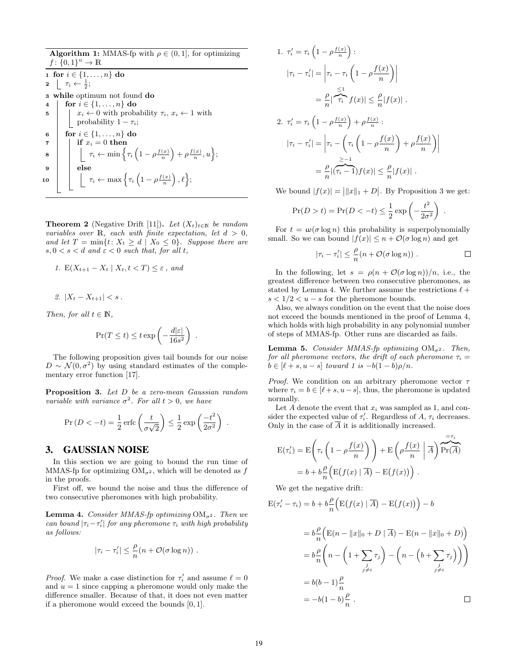Algorithm 1: MMAS-fp with  $\rho \in (0, 1]$ , for optimizing  $f: \{0,1\}^n \to \mathbb{R}$ 1 for  $i \in \{1, ..., n\}$  do 2  $\Gamma_i \leftarrow \frac{1}{2};$ <sup>3</sup> while optimum not found do 4 | for  $i \in \{1, ..., n\}$  do 5  $\vert x_i \leftarrow 0$  with probability  $\tau_i, x_i \leftarrow 1$  with | probability  $1 - \tau_i$ ; 6 for  $i \in \{1, ..., n\}$  do  $\tau$  | if  $x_i = 0$  then  $\textbf{s} \quad | \quad \bigg| \quad \pi_i \leftarrow \min \Big\{ \tau_i \left( 1 - \rho \frac{f(x)}{n} \right) + \rho \frac{f(x)}{n}, u \Big\};$ 9 | else  ${\bf 10} \quad | \quad \Big| \quad \tau_i \leftarrow \max \Big\{ \tau_i \left( 1 - \rho \frac{f(x)}{n} \right), \ell \Big\};$ 

**Theorem 2** (Negative Drift [11]). Let  $(X_t)_{t \in \mathbb{N}}$  be random variables over  $\mathbb R$ , each with finite expectation, let  $d > 0$ , and let  $T = \min\{t: X_t \ge d \mid X_0 \le 0\}$ . Suppose there are  $s, 0 < s < d$  and  $\varepsilon < 0$  such that, for all t,

1. 
$$
E(X_{t+1} - X_t | X_t, t < T) \leq \varepsilon
$$
, and

$$
2. |X_t - X_{t+1}| < s \, .
$$

Then, for all  $t \in \mathbb{N}$ ,

$$
\Pr(T \le t) \le t \exp\left(-\frac{d|\varepsilon|}{16s^2}\right)
$$

.

.

The following proposition gives tail bounds for our noise  $D \sim \mathcal{N}(0, \sigma^2)$  by using standard estimates of the complementary error function [17].

Proposition 3. Let D be a zero-mean Gaussian random variable with variance  $\sigma^2$ . For all  $t > 0$ , we have

$$
\Pr(D < -t) = \frac{1}{2} \operatorname{erfc}\left(\frac{t}{\sigma\sqrt{2}}\right) \le \frac{1}{2} \exp\left(\frac{-t^2}{2\sigma^2}\right)
$$

#### 3. GAUSSIAN NOISE

In this section we are going to bound the run time of MMAS-fp for optimizing  $OM_{\sigma^2}$ , which will be denoted as f in the proofs.

First off, we bound the noise and thus the difference of two consecutive pheromones with high probability.

**Lemma 4.** Consider MMAS-fp optimizing  $OM_{\sigma^2}$ . Then we can bound  $|\tau_i - \tau'_i|$  for any pheromone  $\tau_i$  with high probability as follows:

$$
|\tau_i - \tau'_i| \leq \frac{\rho}{n} (n + \mathcal{O}(\sigma \log n)) \; .
$$

*Proof.* We make a case distinction for  $\tau'_i$  and assume  $\ell = 0$ and  $u = 1$  since capping a pheromone would only make the difference smaller. Because of that, it does not even matter if a pheromone would exceed the bounds [0, 1].

1. 
$$
\tau'_i = \tau_i \left( 1 - \rho \frac{f(x)}{n} \right):
$$

$$
|\tau_i - \tau'_i| = \left| \tau_i - \tau_i \left( 1 - \rho \frac{f(x)}{n} \right) \right|
$$

$$
= \frac{\rho}{n} |\frac{\leq 1}{\tau_i} f(x)| \leq \frac{\rho}{n} |f(x)|.
$$
  
2. 
$$
\tau'_i = \tau_i \left( 1 - \rho \frac{f(x)}{n} \right) + \rho \frac{f(x)}{n}:
$$

$$
|\tau_i - \tau'_i| = \left| \tau_i - \left( \tau_i \left( 1 - \rho \frac{f(x)}{n} \right) + \rho \frac{f(x)}{n} \right) \right|
$$

$$
= \frac{\rho}{n} |(\tau_i - 1) f(x)| \leq \frac{\rho}{n} |f(x)|.
$$

We bound  $|f(x)| = ||x||_1 + D$ . By Proposition 3 we get:

$$
Pr(D > t) = Pr(D < -t) \le \frac{1}{2} \exp\left(-\frac{t^2}{2\sigma^2}\right).
$$

For  $t = \omega(\sigma \log n)$  this probability is superpolynomially small. So we can bound  $|f(x)| \leq n + \mathcal{O}(\sigma \log n)$  and get

$$
|\tau_i - \tau'_i| \leq \frac{\rho}{n} (n + \mathcal{O}(\sigma \log n)) .
$$

In the following, let  $s = \rho(n + \mathcal{O}(\sigma \log n))/n$ , i.e., the greatest difference between two consecutive pheromones, as stated by Lemma 4. We further assume the restrictions  $\ell +$  $s < 1/2 < u - s$  for the pheromone bounds.

Also, we always condition on the event that the noise does not exceed the bounds mentioned in the proof of Lemma 4, which holds with high probability in any polynomial number of steps of MMAS-fp. Other runs are discarded as fails.

**Lemma 5.** Consider MMAS-fp optimizing  $OM_{\sigma^2}$ . Then, for all pheromone vectors, the drift of each pheromone  $\tau_i =$  $b \in [\ell + s, u - s]$  toward 1 is  $-b(1 - b)\rho/n$ .

*Proof.* We condition on an arbitrary pheromone vector  $\tau$ where  $\tau_i = b \in [\ell + s, u - s]$ , thus, the pheromone is updated normally.

Let A denote the event that  $x_i$  was sampled as 1, and consider the expected value of  $\tau_i'$ . Regardless of A,  $\tau_i$  decreases. Only in the case of A it is additionally increased.

$$
E(\tau'_i) = E\left(\tau_i \left(1 - \rho \frac{f(x)}{n}\right)\right) + E\left(\rho \frac{f(x)}{n} \middle| \overline{A}\right) \overline{Pr(\overline{A})}
$$

$$
= b + b\frac{\rho}{n} \left( E(f(x) \mid \overline{A}) - E(f(x)) \right).
$$

We get the negative drift:

$$
E(\tau'_i - \tau_i) = b + b \frac{\rho}{n} \Big( E(f(x) | \overline{A}) - E(f(x)) \Big) - b
$$
  

$$
= b \frac{\rho}{n} \Big( E(n - ||x||_0 + D | \overline{A}) - E(n - ||x||_0 + D) \Big)
$$
  

$$
= b \frac{\rho}{n} \Big( n - \Big( 1 + \sum_{\substack{j \\ j \neq i}} \tau_j \Big) - \Big( n - \Big( b + \sum_{\substack{j \\ j \neq i}} \tau_j \Big) \Big) \Big)
$$
  

$$
= b(b - 1) \frac{\rho}{n}
$$

$$
= -b(1-b)\frac{\rho}{n} .
$$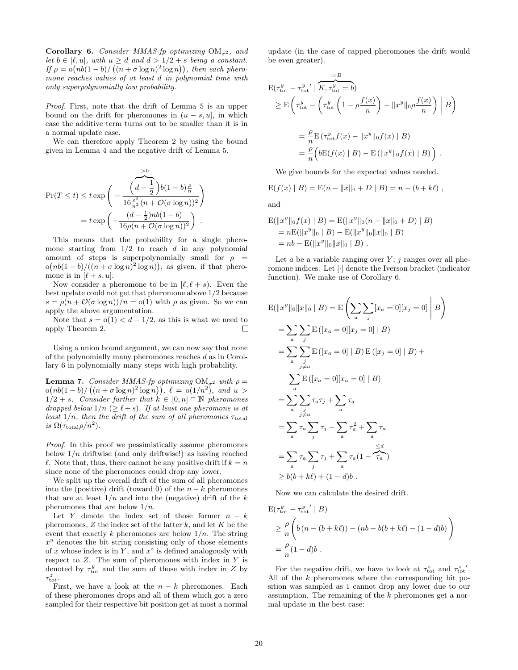Corollary 6. Consider MMAS-fp optimizing  $OM_{\sigma^2}$ , and let  $b \in [\ell, u]$ , with  $u > d$  and  $d > 1/2 + s$  being a constant. If  $\rho = o(nb(1-b)/(n+\sigma \log n)^2 \log n)$ , then each pheromone reaches values of at least d in polynomial time with only superpolynomially low probability.

Proof. First, note that the drift of Lemma 5 is an upper bound on the drift for pheromones in  $(u - s, u]$ , in which case the additive term turns out to be smaller than it is in a normal update case.

We can therefore apply Theorem 2 by using the bound given in Lemma 4 and the negative drift of Lemma 5.

$$
\Pr(T \le t) \le t \exp\left(-\frac{\left(d - \frac{1}{2}\right)b(1 - b)\frac{\rho}{n}}{16\frac{\rho^2}{n^2}(n + \mathcal{O}(\sigma\log n))^2}\right)
$$

$$
= t \exp\left(-\frac{(d - \frac{1}{2})nb(1 - b)}{16\rho(n + \mathcal{O}(\sigma\log n))^2}\right).
$$

This means that the probability for a single pheromone starting from  $1/2$  to reach d in any polynomial amount of steps is superpolynomially small for  $\rho =$  $o(nb(1-b)/((n+\sigma \log n)^2 \log n))$ , as given, if that pheromone is in  $[\ell + s, u]$ .

Now consider a pheromone to be in  $[\ell, \ell + s]$ . Even the best update could not get that pheromone above 1/2 because  $s = \rho(n + \mathcal{O}(\sigma \log n))/n = o(1)$  with  $\rho$  as given. So we can apply the above argumentation.

Note that  $s = o(1) < d - 1/2$ , as this is what we need to apply Theorem 2.  $\Box$ 

Using a union bound argument, we can now say that none of the polynomially many pheromones reaches d as in Corollary 6 in polynomially many steps with high probability.

**Lemma 7.** Consider MMAS-fp optimizing  $OM_{\sigma^2}$  with  $\rho =$  $o(nb(1-b)/((n+\sigma\log n)^2\log n)), \ell = o(1/n^2), \text{ and } u >$  $1/2 + s$ . Consider further that  $k \in [0, n] \cap \mathbb{N}$  pheromones dropped below  $1/n \ (\geq \ell + s)$ . If at least one pheromone is at least  $1/n$ , then the drift of the sum of all pheromones  $\tau_{\text{total}}$ is  $\Omega(\tau_{\text{total}}\rho/n^2)$ .

Proof. In this proof we pessimistically assume pheromones below  $1/n$  driftwise (and only driftwise!) as having reached  $\ell$ . Note that, thus, there cannot be any positive drift if  $k = n$ since none of the pheromones could drop any lower.

We split up the overall drift of the sum of all pheromones into the (positive) drift (toward 0) of the  $n - k$  pheromones that are at least  $1/n$  and into the (negative) drift of the k pheromones that are below  $1/n$ .

Let Y denote the index set of those former  $n - k$ pheromones,  $Z$  the index set of the latter  $k$ , and let  $K$  be the event that exactly k pheromones are below  $1/n$ . The string  $x^y$  denotes the bit string consisting only of those elements of x whose index is in Y, and  $x^z$  is defined analogously with respect to  $Z$ . The sum of pheromones with index in  $Y$  is denoted by  $\tau_{\text{tot}}^y$  and the sum of those with index in Z by  $\tau_{\rm tot}^z$ .

First, we have a look at the  $n - k$  pheromones. Each of these pheromones drops and all of them which got a zero sampled for their respective bit position get at most a normal update (in the case of capped pheromones the drift would be even greater).

$$
\begin{split} \mathbf{E}(\tau_{\rm tot}^y - \tau_{\rm tot}^y \mid \overbrace{K, \tau_{\rm tot}^y = b}^{:=B}) \\ &\geq \mathbf{E}\left(\tau_{\rm tot}^y - \left(\tau_{\rm tot}^y \left(1 - \rho \frac{f(x)}{n}\right) + \|x^y\|_0 \rho \frac{f(x)}{n}\right) \Big| B\right) \\ &= \frac{\rho}{n} \mathbf{E}\left(\tau_{\rm tot}^y f(x) - \|x^y\|_0 f(x) \Big| B\right) \\ &= \frac{\rho}{n} \left( b\mathbf{E}(f(x) \mid B) - \mathbf{E}\left(\|x^y\|_0 f(x) \mid B\right) \right) \,. \end{split}
$$

We give bounds for the expected values needed.

$$
E(f(x) | B) = E(n - ||x||_0 + D | B) = n - (b + k\ell),
$$

and

$$
E(||x^y||_0 f(x) | B) = E(||x^y||_0(n - ||x||_0 + D) | B)
$$
  
= nE(||x^y||\_0 | B) - E(||x^y||\_0 ||x||\_0 | B)  
= nb - E(||x^y||\_0 ||x||\_0 | B).

Let  $a$  be a variable ranging over  $Y$ ;  $j$  ranges over all pheromone indices. Let [·] denote the Iverson bracket (indicator function). We make use of Corollary 6.

$$
E(||x^y||_0 ||x||_0 | B) = E\left(\sum_a \sum_j [x_a = 0][x_j = 0] | B\right)
$$
  
\n
$$
= \sum_a \sum_j E([x_a = 0] [x_j = 0] | B)
$$
  
\n
$$
= \sum_a \sum_{j \neq a} E([x_a = 0] | B) E([x_j = 0] | B) +
$$
  
\n
$$
\sum_a E([x_a = 0] [x_a = 0] | B)
$$
  
\n
$$
= \sum_a \sum_{j \neq a} \tau_a \tau_j + \sum_a \tau_a
$$
  
\n
$$
= \sum_a \tau_a \sum_j \tau_j - \sum_a \tau_a^2 + \sum_a \tau_a
$$
  
\n
$$
= \sum_a \tau_a \sum_j \tau_j + \sum_a \tau_a (1 - \tau_a)
$$
  
\n
$$
\geq b(b + k\ell) + (1 - d)b.
$$

Now we can calculate the desired drift.

$$
\begin{aligned} \mathcal{E}(\tau_{\text{tot}}^y - \tau_{\text{tot}}^{y'} \mid B) \\ &\geq \frac{\rho}{n} \left( b \left( n - (b + k\ell) \right) - (nb - b(b + k\ell) - (1 - d)b \right) \\ &= \frac{\rho}{n} (1 - d)b \end{aligned}
$$

For the negative drift, we have to look at  $\tau_{\text{tot}}^z$  and  $\tau_{\text{tot}}^z$ . All of the k pheromones where the corresponding bit position was sampled as 1 cannot drop any lower due to our assumption. The remaining of the k pheromones get a normal update in the best case: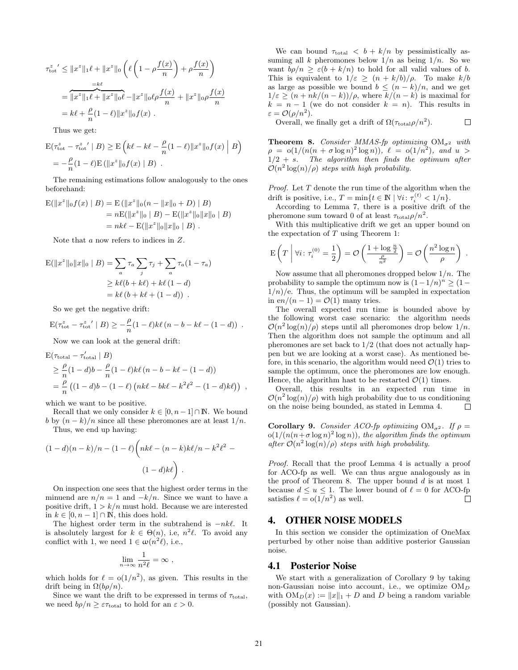$$
\tau_{\text{tot}}^z' \le ||x^z||_1 \ell + ||x^z||_0 \left( \ell \left( 1 - \rho \frac{f(x)}{n} \right) + \rho \frac{f(x)}{n} \right)
$$
  
= 
$$
\frac{=\ell}{||x^z||_1 \ell + ||x^z||_0 \ell} - ||x^z||_0 \ell \rho \frac{f(x)}{n} + ||x^z||_0 \rho \frac{f(x)}{n}
$$
  
= 
$$
k\ell + \frac{\rho}{n} (1 - \ell) ||x^z||_0 f(x) .
$$

Thus we get:

$$
\mathcal{E}(\tau_{\text{tot}}^z - \tau_{\text{tot}}^z' | B) \ge \mathcal{E}\left(k\ell - k\ell - \frac{\rho}{n}(1-\ell)\|x^z\|_0 f(x) | B\right)
$$
  
=  $-\frac{\rho}{n}(1-\ell)\mathcal{E}(\|x^z\|_0 f(x) | B).$ 

The remaining estimations follow analogously to the ones beforehand:

$$
\begin{aligned} \mathbf{E}(\|x^* \|_0 f(x) \mid B) &= \mathbf{E}(\|x^* \|_0 (n - \|x\|_0 + D) \mid B) \\ &= n \mathbf{E}(\|x^* \|_0 \mid B) - \mathbf{E}(\|x^* \|_0 \|x\|_0 \mid B) \\ &= n k \ell - \mathbf{E}(\|x^* \|_0 \|x\|_0 \mid B) \ .\end{aligned}
$$

Note that a now refers to indices in Z.

$$
E(||x^z||_0||x||_0 | B) = \sum_a \tau_a \sum_j \tau_j + \sum_a \tau_a (1 - \tau_a)
$$
  
\n
$$
\geq k\ell(b + k\ell) + k\ell (1 - d)
$$
  
\n
$$
= k\ell (b + k\ell + (1 - d)) .
$$

So we get the negative drift:

$$
\mathbf{E}(\tau_{\rm tot}^z - \tau_{\rm tot}^{z\;\prime} \mid B) \geq -\frac{\rho}{n}(1-\ell)k\ell(n-b-k\ell-(1-d))\enspace.
$$

Now we can look at the general drift:

$$
E(\tau_{\text{total}} - \tau_{\text{total}}' | B)
$$
  
\n
$$
\geq \frac{\rho}{n} (1 - d) b - \frac{\rho}{n} (1 - \ell) k \ell (n - b - k \ell - (1 - d))
$$
  
\n
$$
= \frac{\rho}{n} ((1 - d) b - (1 - \ell) (nk \ell - bk \ell - k^2 \ell^2 - (1 - d) k \ell)),
$$

which we want to be positive.

Recall that we only consider  $k \in [0, n-1] \cap \mathbb{N}$ . We bound b by  $(n - k)/n$  since all these pheromones are at least  $1/n$ .

Thus, we end up having:

$$
(1-d)(n-k)/n - (1-\ell)\left(nk\ell - (n-k)k\ell/n - k^2\ell^2 - (1-d)k\ell\right).
$$

On inspection one sees that the highest order terms in the minuend are  $n/n = 1$  and  $-k/n$ . Since we want to have a positive drift,  $1 > k/n$  must hold. Because we are interested in  $k \in [0, n-1] \cap \mathbb{N}$ , this does hold.

The highest order term in the subtrahend is  $-nk\ell$ . It is absolutely largest for  $k \in \Theta(n)$ , i.e,  $n^2 \ell$ . To avoid any conflict with 1, we need  $1 \in \omega(n^2\ell)$ , i.e.,

$$
\lim_{n \to \infty} \frac{1}{n^2 \ell} = \infty ,
$$

which holds for  $\ell = o(1/n^2)$ , as given. This results in the drift being in  $\Omega(b\rho/n)$ .

Since we want the drift to be expressed in terms of  $\tau_{\text{total}}$ , we need  $b\rho/n \geq \varepsilon \tau_{\text{total}}$  to hold for an  $\varepsilon > 0$ .

We can bound  $\tau_{\text{total}} < b + k/n$  by pessimistically assuming all k pheromones below  $1/n$  as being  $1/n$ . So we want  $b\rho/n > \varepsilon(b + k/n)$  to hold for all values of b. This is equivalent to  $1/\varepsilon \ge (n + k/b)/\rho$ . To make  $k/b$ as large as possible we bound  $b \leq (n-k)/n$ , and we get  $1/\varepsilon \geq (n + nk/(n - k))/\rho$ , where  $k/(n - k)$  is maximal for  $k = n - 1$  (we do not consider  $k = n$ ). This results in  $\varepsilon = \mathcal{O}(\rho/n^2).$ 

Overall, we finally get a drift of  $\Omega(\tau_{\text{total}}\rho/n^2)$ .  $\Box$ 

**Theorem 8.** Consider MMAS-fp optimizing  $OM_{\sigma^2}$  with  $\rho = o(1/(n(n + \sigma \log n)^2 \log n)), \ell = o(1/n^2), \text{ and } u >$  $1/2 + s$ . The algorithm then finds the optimum after  $\mathcal{O}(n^2 \log(n)/\rho)$  steps with high probability.

*Proof.* Let  $T$  denote the run time of the algorithm when the drift is positive, i.e.,  $T = \min\{t \in \mathbb{N} \mid \forall i \colon \tau_i^{(t)} < 1/n\}.$ 

According to Lemma 7, there is a positive drift of the pheromone sum toward 0 of at least  $\tau_{\text{total}}\rho/n^2$ .

With this multiplicative drift we get an upper bound on the expectation of T using Theorem 1:

$$
\mathrm{E}\left(T \; \middle| \; \forall i \colon \tau_i^{(0)} = \frac{1}{2}\right) = \mathcal{O}\left(\frac{1 + \log \frac{n}{2}}{\frac{\rho}{n^2}}\right) = \mathcal{O}\left(\frac{n^2 \log n}{\rho}\right) \; .
$$

Now assume that all pheromones dropped below  $1/n$ . The probability to sample the optimum now is  $(1-1/n)^n \ge (1 1/n$ /e. Thus, the optimum will be sampled in expectation in en/(n – 1) =  $\mathcal{O}(1)$  many tries.

The overall expected run time is bounded above by the following worst case scenario: the algorithm needs  $\mathcal{O}(n^2 \log(n)/\rho)$  steps until all pheromones drop below  $1/n$ . Then the algorithm does not sample the optimum and all pheromones are set back to  $1/2$  (that does not actually happen but we are looking at a worst case). As mentioned before, in this scenario, the algorithm would need  $\mathcal{O}(1)$  tries to sample the optimum, once the pheromones are low enough. Hence, the algorithm hast to be restarted  $\mathcal{O}(1)$  times.

Overall, this results in an expected run time in  $\mathcal{O}(n^2 \log(n)/\rho)$  with high probability due to us conditioning on the noise being bounded, as stated in Lemma 4.  $\Box$ 

**Corollary 9.** Consider ACO-fp optimizing  $OM_{\sigma^2}$ . If  $\rho =$  $o(1/(n(n + \sigma \log n)^2 \log n))$ , the algorithm finds the optimum after  $\mathcal{O}(n^2 \log(n)/\rho)$  steps with high probability.

Proof. Recall that the proof Lemma 4 is actually a proof for ACO-fp as well. We can thus argue analogously as in the proof of Theorem 8. The upper bound  $d$  is at most 1 because  $d \le u \le 1$ . The lower bound of  $\ell = 0$  for ACO-fp satisfies  $\ell = o(1/n^2)$  as well.  $\Box$ 

## 4. OTHER NOISE MODELS

In this section we consider the optimization of OneMax perturbed by other noise than additive posterior Gaussian noise.

#### 4.1 Posterior Noise

We start with a generalization of Corollary 9 by taking non-Gaussian noise into account, i.e., we optimize  $OM_D$ with  $OM_D(x) := ||x||_1 + D$  and D being a random variable (possibly not Gaussian).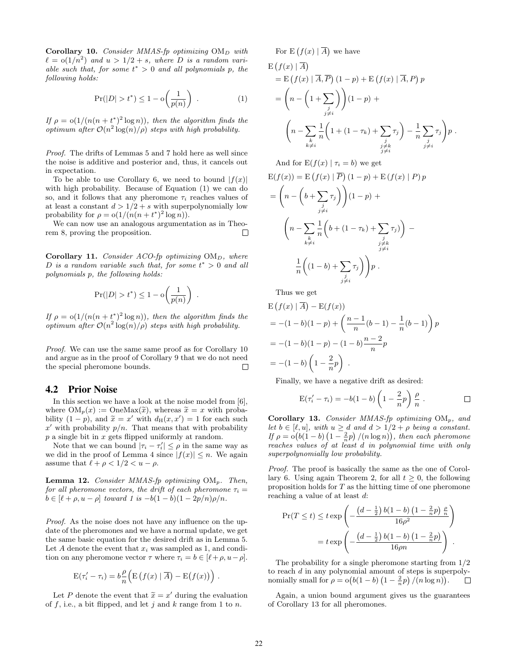Corollary 10. Consider MMAS-fp optimizing  $OM_D$  with  $\ell = o(1/n^2)$  and  $u > 1/2 + s$ , where D is a random variable such that, for some  $t^* > 0$  and all polynomials p, the following holds:

$$
\Pr(|D| > t^*) \le 1 - \mathcal{O}\left(\frac{1}{p(n)}\right) \tag{1}
$$

If  $\rho = o(1/(n(n+t^*)^2 \log n))$ , then the algorithm finds the optimum after  $\mathcal{O}(n^2 \log(n)/\rho)$  steps with high probability.

Proof. The drifts of Lemmas 5 and 7 hold here as well since the noise is additive and posterior and, thus, it cancels out in expectation.

To be able to use Corollary 6, we need to bound  $|f(x)|$ with high probability. Because of Equation (1) we can do so, and it follows that any pheromone  $\tau_i$  reaches values of at least a constant  $d > 1/2 + s$  with superpolynomially low probability for  $\rho = o(1/(n(n+t^*)^2 \log n)).$ 

We can now use an analogous argumentation as in Theorem 8, proving the proposition.  $\Box$ 

Corollary 11. Consider ACO-fp optimizing  $OM_D$ , where D is a random variable such that, for some  $t^* > 0$  and all polynomials p, the following holds:

$$
\Pr(|D| > t^*) \le 1 - o\left(\frac{1}{p(n)}\right) .
$$

If  $\rho = o(1/(n(n+t^*)^2 \log n))$ , then the algorithm finds the optimum after  $\mathcal{O}(n^2 \log(n)/\rho)$  steps with high probability.

Proof. We can use the same same proof as for Corollary 10 and argue as in the proof of Corollary 9 that we do not need the special pheromone bounds.  $\Box$ 

### 4.2 Prior Noise

In this section we have a look at the noise model from [6], where  $OM_p(x) := \text{OneMax}(\tilde{x})$ , whereas  $\tilde{x} = x$  with probability  $(1-p)$ , and  $\tilde{x} = x'$  with  $d_H(x, x') = 1$  for each such  $x'$  with probability  $p/a$ . That means that with probability x' with probability  $p/n$ . That means that with probability  $p$  a single bit in  $x$  gets flipped uniformly at random.

Note that we can bound  $|\tau_i - \tau'_i| \leq \rho$  in the same way as we did in the proof of Lemma 4 since  $|f(x)| \leq n$ . We again assume that  $\ell + \rho < 1/2 < u - \rho$ .

**Lemma 12.** Consider MMAS-fp optimizing  $OM_p$ . Then, for all pheromone vectors, the drift of each pheromone  $\tau_i =$  $b \in [\ell + \rho, u - \rho]$  toward 1 is  $-b(1 - b)(1 - 2p/n)\rho/n$ .

Proof. As the noise does not have any influence on the update of the pheromones and we have a normal update, we get the same basic equation for the desired drift as in Lemma 5. Let A denote the event that  $x_i$  was sampled as 1, and condition on any pheromone vector  $\tau$  where  $\tau_i = b \in [\ell+\rho, u-\rho].$ 

$$
E(\tau'_i - \tau_i) = b \frac{\rho}{n} \Big( E(f(x) | \overline{A}) - E(f(x)) \Big) .
$$

Let P denote the event that  $\tilde{x} = x'$  during the evaluation<br>f i.e., a bit flipped and let i and k range from 1 to n of  $f$ , i.e., a bit flipped, and let  $j$  and  $k$  range from 1 to  $n$ .

For  $E(f(x) | \overline{A})$  we have

$$
E(f(x) | \overline{A})
$$
  
=  $E(f(x) | \overline{A}, \overline{P})(1-p) + E(f(x) | \overline{A}, P) p$   
=  $\left(n - \left(1 + \sum_{\substack{j \\ j \neq i}}\right)\right) (1-p) +$   

$$
\left(n - \sum_{\substack{k \\ k \neq i}} \frac{1}{n} \left(1 + (1 - \tau_k) + \sum_{\substack{j \\ j \neq k}} \tau_j\right) - \frac{1}{n} \sum_{\substack{j \\ j \neq i}} \tau_j p).
$$

And for  $E(f(x) | \tau_i = b)$  we get

$$
E(f(x)) = E(f(x) | \overline{P}) (1 - p) + E(f(x) | P) p
$$
  
= 
$$
\left(n - \left(b + \sum_{\substack{j \\ j \neq i}} \tau_j\right)\right) (1 - p) +
$$
  

$$
\left(n - \sum_{\substack{k \\ k \neq i}} \frac{1}{n} \left(b + (1 - \tau_k) + \sum_{\substack{j \\ j \neq k \\ j \neq i}} \tau_j\right)\right) -
$$
  

$$
\frac{1}{n} \left((1 - b) + \sum_{\substack{j \\ j \neq i}} \tau_j\right) p.
$$

Thus we get

$$
E(f(x) | \overline{A}) - E(f(x))
$$
  
= -(1 - b)(1 - p) +  $\left(\frac{n-1}{n}(b-1) - \frac{1}{n}(b-1)\right)p$   
= -(1 - b)(1 - p) - (1 - b)\frac{n-2}{n}p  
= -(1 - b)\left(1 - \frac{2}{n}p\right).

Finally, we have a negative drift as desired:

$$
E(\tau_i' - \tau_i) = -b(1 - b)\left(1 - \frac{2}{n}p\right)\frac{\rho}{n} . \qquad \qquad \Box
$$

Corollary 13. Consider MMAS-fp optimizing  $OM_p$ , and let  $b \in [\ell, u]$ , with  $u \geq d$  and  $d > 1/2 + \rho$  being a constant. If  $\rho = o(b(1-b)(1-\frac{2}{n}p)/(n \log n))$ , then each pheromone reaches values of at least d in polynomial time with only superpolynomially low probability.

Proof. The proof is basically the same as the one of Corollary 6. Using again Theorem 2, for all  $t \geq 0$ , the following proposition holds for  $T$  as the hitting time of one pheromone reaching a value of at least d:

$$
\Pr(T \le t) \le t \exp\left(-\frac{\left(d - \frac{1}{2}\right)b(1 - b)\left(1 - \frac{2}{n}p\right)\frac{\rho}{n}}{16\rho^2}\right)
$$

$$
= t \exp\left(-\frac{\left(d - \frac{1}{2}\right)b(1 - b)\left(1 - \frac{2}{n}p\right)}{16\rho n}\right).
$$

The probability for a single pheromone starting from 1/2 to reach d in any polynomial amount of steps is superpolynomially small for  $\rho = o(b(1-b)(1-\frac{2}{n}p)/(n \log n)).$ 

Again, a union bound argument gives us the guarantees of Corollary 13 for all pheromones.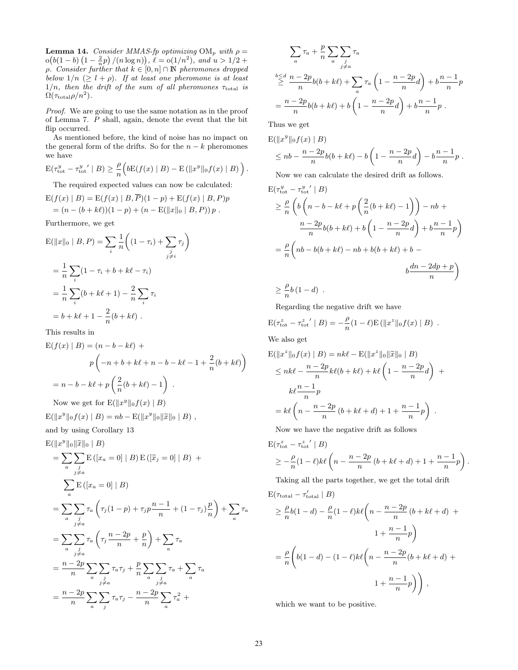**Lemma 14.** Consider MMAS-fp optimizing  $OM_p$  with  $\rho =$  $o(b(1-b)(1-\frac{2}{n}p)/(n \log n)), \ell = o(1/n^2), \text{ and } u > 1/2 +$  $ρ.$  Consider further that  $k ∈ [0, n] ∩ ℕ$  pheromones dropped below  $1/n \geq l + \rho$ . If at least one pheromone is at least  $1/n$ , then the drift of the sum of all pheromones  $\tau_{\text{total}}$  is  $\Omega(\tau_{\rm total}\rho/n^2)$ .

Proof. We are going to use the same notation as in the proof of Lemma 7. P shall, again, denote the event that the bit flip occurred.

As mentioned before, the kind of noise has no impact on the general form of the drifts. So for the  $n - k$  pheromones we have

$$
\mathcal{E}(\tau_{\text{tot}}^y - \tau_{\text{tot}}^{y'} \mid B) \ge \frac{\rho}{n} \Big( b \mathcal{E}(f(x) \mid B) - \mathcal{E}(\|x^y\|_0 f(x) \mid B) \Big).
$$

The required expected values can now be calculated:

$$
E(f(x) | B) = E(f(x) | B, \overline{P})(1 - p) + E(f(x) | B, P)p
$$
  
= (n - (b + k\ell))(1 - p) + (n - E(||x||\_0 | B, P)) p.

Furthermore, we get

$$
E(||x||_0 | B, P) = \sum_{i} \frac{1}{n} \left( (1 - \tau_i) + \sum_{\substack{j \\ j \neq i}} \tau_j \right)
$$
  
=  $\frac{1}{n} \sum_{i} (1 - \tau_i + b + k\ell - \tau_i)$   
=  $\frac{1}{n} \sum_{i} (b + k\ell + 1) - \frac{2}{n} \sum_{i} \tau_i$   
=  $b + k\ell + 1 - \frac{2}{n} (b + k\ell).$ 

This results in

$$
E(f(x) | B) = (n - b - k\ell) +
$$
  
\n
$$
p(-n + b + k\ell + n - b - k\ell - 1 + \frac{2}{n}(b + k\ell))
$$
  
\n
$$
= n - b - k\ell + p\left(\frac{2}{n}(b + k\ell) - 1\right).
$$
  
\nNow we get for 
$$
E(||x^y||_0 f(x) | B)
$$

 $E(||x^y||_0 f(x) | B) = nb - E(||x^y||_0 ||\widetilde{x}||_0 | B)$ ,

and by using Corollary 13

$$
E(||x^y||_0 ||\tilde{x}||_0 | B)
$$
  
=  $\sum_{a} \sum_{\substack{j \neq a \\ j \neq a}} E([x_a = 0] | B) E([\tilde{x}_j = 0] | B) +$   

$$
\sum_{a} E([x_a = 0] | B)
$$
  
=  $\sum_{a} \sum_{\substack{j \neq a \\ j \neq a}} \tau_a \left( \tau_j (1 - p) + \tau_j p \frac{n-1}{n} + (1 - \tau_j) \frac{p}{n} \right) + \sum_{a} \tau_a$   
=  $\sum_{a} \sum_{\substack{j \neq a \\ j \neq a}} \tau_a \left( \tau_j \frac{n-2p}{n} + \frac{p}{n} \right) + \sum_{a} \tau_a$   
=  $\frac{n-2p}{n} \sum_{a} \sum_{\substack{j \neq a \\ j \neq a}} \tau_a \tau_j + \frac{p}{n} \sum_{\substack{a} \sum_{\substack{j \neq a \\ j \neq a}} \tau_a + \sum_{a} \tau_a$   
=  $\frac{n-2p}{n} \sum_{a} \sum_{j} \tau_a \tau_j - \frac{n-2p}{n} \sum_{a} \tau_a^2 +$ 

$$
\sum_{a} \tau_a + \frac{p}{n} \sum_{a} \sum_{j \neq a} \tau_a
$$
  

$$
\sum_{m=0}^{n} \frac{n-2p}{n} b(b+k\ell) + \sum_{a} \tau_a \left(1 - \frac{n-2p}{n}d\right) + b\frac{n-1}{n}p
$$
  

$$
= \frac{n-2p}{n} b(b+k\ell) + b\left(1 - \frac{n-2p}{n}d\right) + b\frac{n-1}{n}p.
$$

Thus we get

$$
E(||x^y||_0 f(x) | B) \n\leq nb - \frac{n-2p}{n}b(b+k\ell) - b\left(1 - \frac{n-2p}{n}d\right) - b\frac{n-1}{n}p.
$$

Now we can calculate the desired drift as follows.

$$
\begin{aligned} \mathcal{E}(\tau_{\text{tot}}^y - \tau_{\text{tot}}^{y'} \mid B) \\ &\geq \frac{\rho}{n} \left( b \left( n - b - k\ell + p \left( \frac{2}{n} (b + k\ell) - 1 \right) \right) - nb + \right. \\ &\quad \left. \frac{n - 2p}{n} b(b + k\ell) + b \left( 1 - \frac{n - 2p}{n} d \right) + b \frac{n - 1}{n} p \right) \\ &= \frac{\rho}{n} \left( nb - b(b + k\ell) - nb + b(b + k\ell) + b - \right. \\ &\quad \left. b \frac{dn - 2dp + p}{n} \right) \\ &\geq \frac{\rho}{n} b (1 - d) \end{aligned}
$$

Regarding the negative drift we have

$$
E(\tau_{\rm tot}^z - \tau_{\rm tot}^z \mid B) = -\frac{\rho}{n}(1-\ell)E(||x^z||_0f(x) \mid B) .
$$

We also get

$$
E(||xz||0f(x) | B) = nk\ell - E(||xz||0||\widetilde{x}||0 | B)
$$
  
\n
$$
\leq nk\ell - \frac{n-2p}{n}k\ell(b+k\ell) + k\ell\left(1 - \frac{n-2p}{n}d\right) +
$$
  
\n
$$
k\ell - \frac{n-1}{n}p
$$
  
\n
$$
= k\ell\left(n - \frac{n-2p}{n}(b+k\ell+d) + 1 + \frac{n-1}{n}p\right).
$$

Now we have the negative drift as follows

$$
\begin{aligned} &\mathbf{E}(\tau_{\rm tot}^z - \tau_{\rm tot}^{z} \mid B) \\ &\geq -\frac{\rho}{n}(1-\ell)k\ell\left(n - \frac{n-2p}{n}\left(b + k\ell + d\right) + 1 + \frac{n-1}{n}p\right). \end{aligned}
$$

Taking all the parts together, we get the total drift

$$
E(\tau_{\text{total}} - \tau_{\text{total}}' | B)
$$
  
\n
$$
\geq \frac{\rho}{n}b(1-d) - \frac{\rho}{n}(1-\ell)k\ell\left(n - \frac{n-2p}{n}(b+k\ell+d) + \frac{n-1}{n}p\right)
$$
  
\n
$$
= \frac{\rho}{n}\left(b(1-d) - (1-\ell)k\ell\left(n - \frac{n-2p}{n}(b+k\ell+d) + \frac{n-1}{n}p\right)\right),
$$

which we want to be positive.